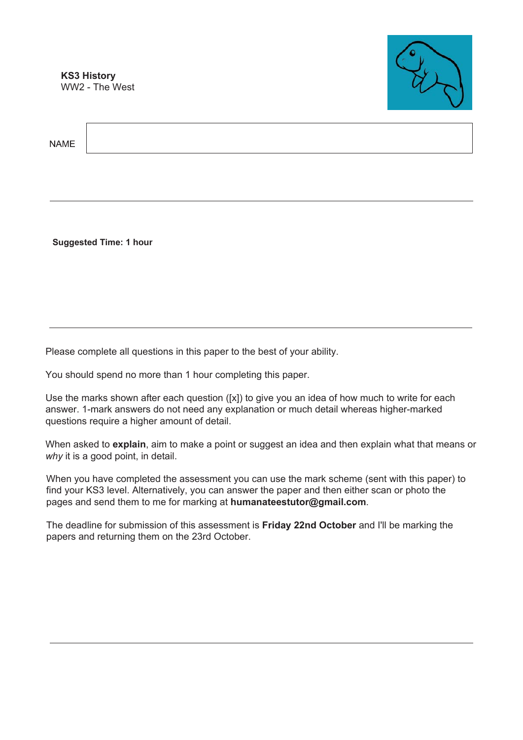**KS3 History** WW2 - The West



**NAMF** 

**Suggested Time: 1 hour** 

Please complete all questions in this paper to the best of your ability.

You should spend no more than 1 hour completing this paper.

Use the marks shown after each question  $([x])$  to give you an idea of how much to write for each answer. 1-mark answers do not need any explanation or much detail whereas higher-marked questions require a higher amount of detail.

When asked to **explain**, aim to make a point or suggest an idea and then explain what that means or *why* it is a good point, in detail.

When you have completed the assessment you can use the mark scheme (sent with this paper) to find your KS3 level. Alternatively, you can answer the paper and then either scan or photo the pages and send them to me for marking at **humanateestutor@gmail.com**.

The deadline for submission of this assessment is **Friday 22nd October** and I'll be marking the papers and returning them on the 23rd October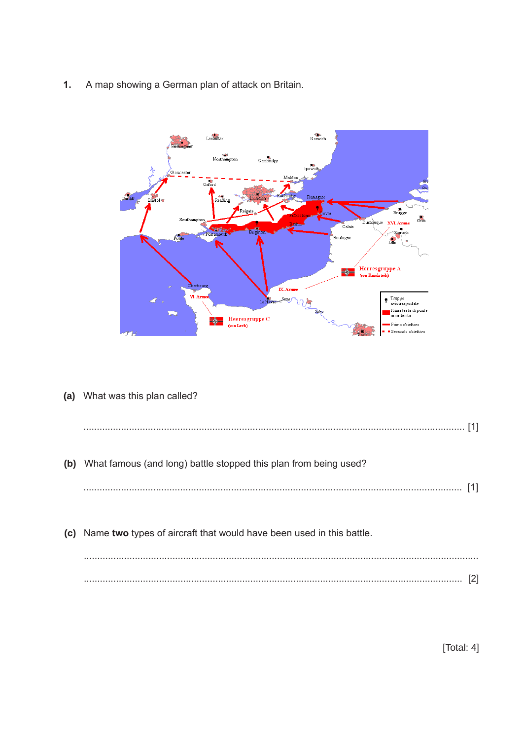A map showing a German plan of attack on Britain.  $\mathbf{1}$ .



(a) What was this plan called?

| (b) | What famous (and long) battle stopped this plan from being used?         |  |
|-----|--------------------------------------------------------------------------|--|
|     |                                                                          |  |
|     |                                                                          |  |
|     | (c) Name two types of aircraft that would have been used in this battle. |  |
|     |                                                                          |  |

[Total: 4]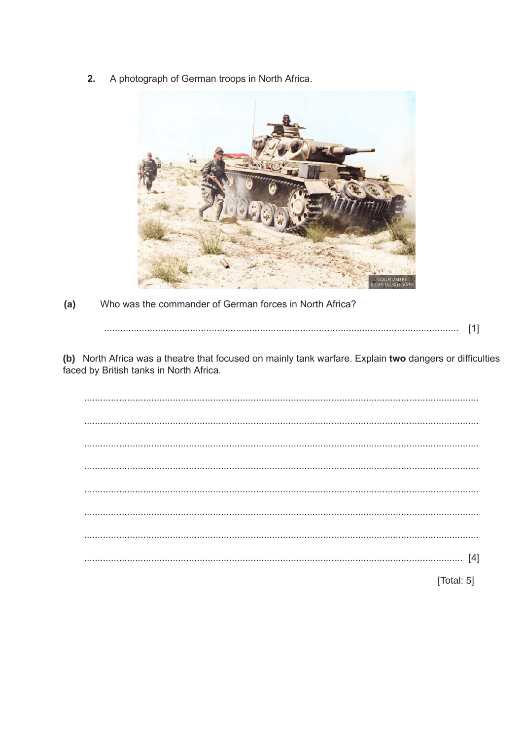A photograph of German troops in North Africa.  $2.$ 



 $(a)$ Who was the commander of German forces in North Africa?

(b) North Africa was a theatre that focused on mainly tank warfare. Explain two dangers or difficulties faced by British tanks in North Africa.

[Total: 5]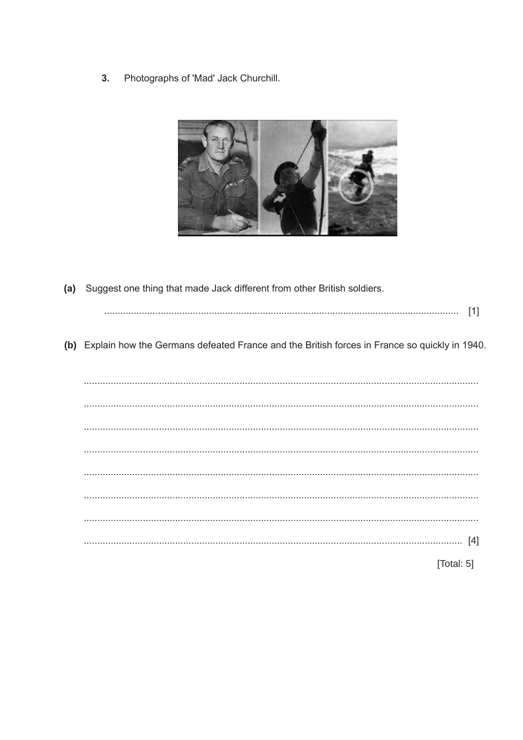Photographs of 'Mad' Jack Churchill.  $3.$ 



| (a) Suggest one thing that made Jack different from other British soldiers.                     |
|-------------------------------------------------------------------------------------------------|
| $[1]$                                                                                           |
| (b) Explain how the Germans defeated France and the British forces in France so quickly in 1940 |
|                                                                                                 |
|                                                                                                 |
|                                                                                                 |
|                                                                                                 |
|                                                                                                 |
|                                                                                                 |
|                                                                                                 |
| $[4] \centering \label{def:3}$                                                                  |
| [Total: 5]                                                                                      |